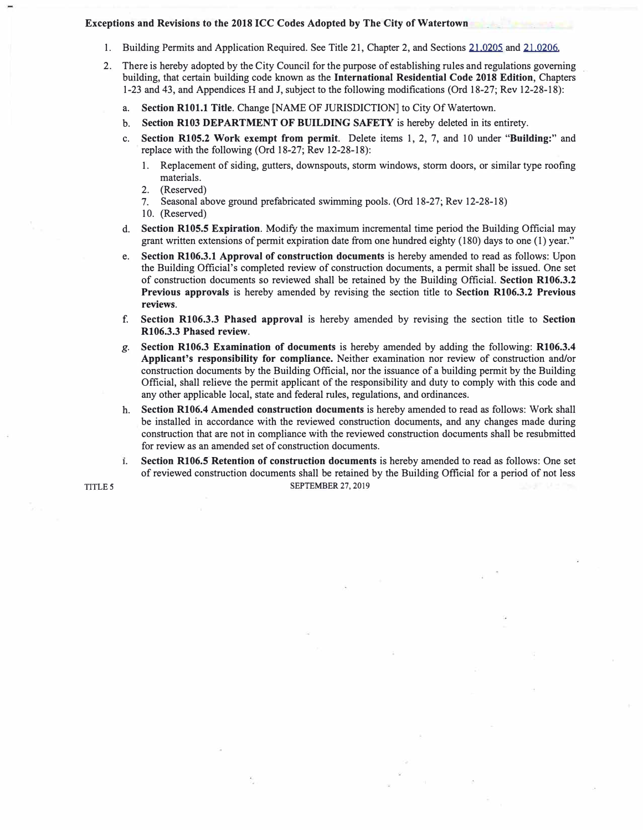## **Exceptions and Revisions to the 2018 ICC Codes Adopted by The City of Watertown**

- 1. Building Permits and Application Required. See Title 21, Chapter 2, and Sections 21,0205 and 21,0206.
- 2. There is hereby adopted by the City Council for the purpose of establishing rules and regulations governing building, that certain building code known as the **International Residential Code 2018 Edition,** Chapters 1-23 and 43, and Appendices Hand J, subject to the following modifications (Ord 18-27; Rev 12-28-18):
	- a. **Section RlOl.1 Title.** Change [NAME OF JURISDICTION] to City Of Watertown.
	- b. **Section R103 DEPARTMENT OF BUILDING SAFETY** is hereby deleted in its entirety.
	- c. **Section RlOS.2 Work exempt from permit.** Delete items 1, 2, 7, and 10 under **"Building:"** and replace with the following (Ord 18-27; Rev 12-28-18):
		- 1. Replacement of siding, gutters, downspouts, storm windows, storm doors, or similar type roofing materials.
		- 2. (Reserved)
		- 7. Seasonal above ground prefabricated swimming pools. (Ord 18-27; Rev 12-28-18)
		- 10. (Reserved)
	- d. **Section RlOS.5 Expiration.** Modify the maximum incremental time period the Building Official may grant written extensions of permit expiration date from one hundred eighty (180) days to one (I) year."
	- e. **Section R106.3.1 Approval of construction documents** is hereby amended to read as follows: Upon the Building Official's completed review of construction documents, a permit shall be issued. One set of construction documents so reviewed shall be retained by the Building Official. **Section R106.3.2 Previous approvals** is hereby amended by revising the section title to **Section R106.3.2 Previous reviews.**
	- f. **Section R106.3.3 Phased approval** is hereby amended by revising the section title to **Section R106.3.3 Phased review.**
	- *g.* **Section R106.3 Examination of documents** is hereby amended by adding the following: **R106.3.4 Applicant's responsibility for compliance.** Neither examination nor review of construction and/or construction documents by the Building Official, nor the issuance of a building permit by the Building Official, shall relieve the permit applicant of the responsibility and duty to comply with this code and any other applicable local, state and federal rules, regulations, and ordinances.
	- h. **Section R106.4 Amended construction documents** is hereby amended to read as follows: Work shall be installed in accordance with the reviewed construction documents, and any changes made during construction that are not in compliance with the reviewed construction documents shall be resubmitted for review as an amended set of construction documents.
- **1. Section R106.5.Retention of construction documents** is hereby amended to read as follows: One set of reviewed construction documents shall be retained by the Building Official for a period of not less **TITLE** *5* **SEPTEMBER 27, 2019**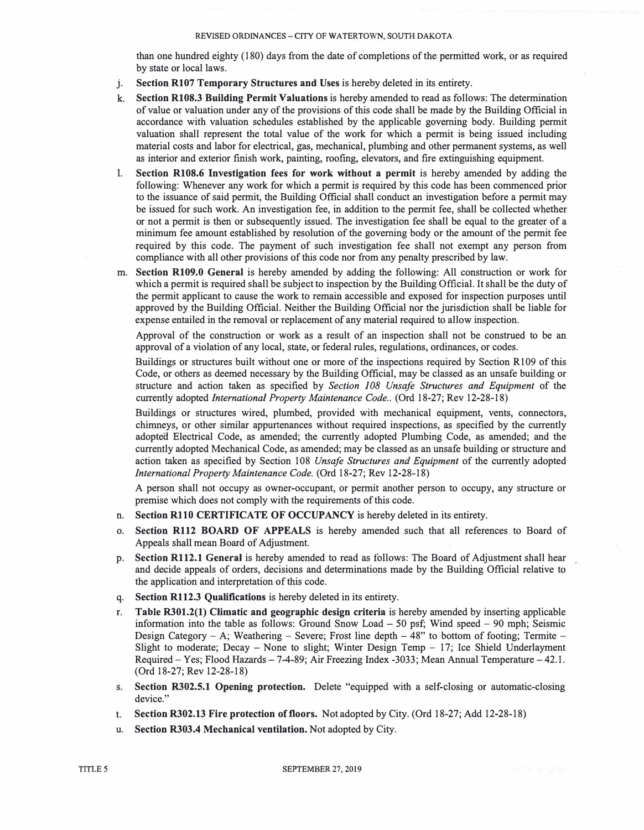## REVISED ORDINANCES - CITY OF WATERTOWN, SOUTH DAKOTA

than one hundred eighty (180) days from the date of completions of the permitted work, or as required by state or local laws.

- **J. Section R107 Temporary Structures and Uses** is hereby deleted in its entirety.
- k. **Section R108.3 Building Permit Valuations** is hereby amended to read as follows: The determination of value or valuation under any of the provisions ofthis code shall be made by the Building Official in accordance with valuation schedules established by the applicable governing body. Building permit valuation shall represent the total value of the work for which a permit is being issued including material costs and labor for electrical, **gas,** mechanical, plumbing and other permanent systems, as well as interior and exterior finish work, painting, roofing, elevators, and fire extinguishing equipment.
- l. **Section R108.6 Investigation fees for work without a permit** is hereby amended by adding the following: Whenever any work for which a permit is required by this code has been commenced prior to the issuance of said permit, the Building Official shall conduct an investigation before a permit may be issued for such work. An investigation fee, in addition to the permit fee, shall be collected whether or not a permit is then or subsequently issued. The investigation fee shall be equal to the greater of a minimum fee amount established by resolution of the governing body or the amount of the permit fee required by this code. The payment of such investigation fee shall not exempt any person from compliance with all other provisions of this code nor from any penalty prescribed by law.
- m. **Section R109.0 General** is hereby amended by adding the following: All construction or work for which a permit is required shall be subject to inspection by the Building Official. It shall be the duty of the permit applicant to cause the work to remain accessible and exposed for inspection purposes until approved by the Building Official. Neither the Building Official nor the jurisdiction shall be liable for expense entailed in the removal or replacement of any material required to allow inspection.

Approval of the construction or work as a result of an inspection shall not be construed to be an approval of a violation of any local, state, or federal rules, regulations, ordinances, or codes.

Buildings or structures built without one or more of the inspections required by Section R109 of this Code, or others as deemed necessary by the Building Official, may be classed **as** an unsafe building or structure and action taken as specified by *Section 108 Unsafe Structures and Equipment* of the currently adopted *International Property Maintenance Code ..* (Ord 18-27; Rev 12-28-18)

Buildings or structures wired, plumbed, provided with mechanical equipment, vents, connectors, chimneys, or other similar appurtenances without required inspections, as specified by the currently adoptea Electrical Code, as amended; the currently adopted Plumbing Code, **as** amended; and the currently adopted Mechanical Code, as amended; may be classed as an unsafe building or structure and action taken as specified by Section 108 *Unsafe Structures and Equipment* of the currently adopted *International Property Maintenance Code.* (Ord 18-27; Rev 12-28-18)

A person shall not occupy as owner-occupant, or permit another person to occupy, any structure or premise which does not comply with the requirements of this code.

- n. **Section R110 CERTIFICATE OF OCCUPANCY** is hereby deleted in its entirety.
- o. **Section R112 BOARD OF APPEALS** is hereby amended such that all references to Board of Appeals shall mean Board of Adjustment.
- p. **Section R112.1 General** is hereby amended to read as follows: The Board of Adjustment shall hear and decide appeals of orders, decisions and determinations made by the Building Official relative to the application and interpretation of this code.
- q. **Section R112.3 Qualifications** is hereby deleted in its entirety.
- r. **Table R301.2(1) Climatic and geographic design criteria** is hereby amended by inserting applicable information into the table **as** follows: Ground Snow Load - 50 psf; Wind speed - 90 mph; Seismic Design Category - A; Weathering - Severe; Frost line depth  $-48$ " to bottom of footing; Termite -Slight to moderate; Decay - None to slight; Winter Design Temp  $-17$ ; Ice Shield Underlayment Required – Yes; Flood Hazards – 7-4-89; Air Freezing Index -3033; Mean Annual Temperature – 42.1. (Ord 18-27; Rev 12-28-18)
- s. **Section R302.5.1 Opening protection.** Delete "equipped with a self-closing or automatic-closing device."
- t. **Section R302.13 Fire protection of floors.** Not adopted by City. (Ord 18-27; Add 12-28-18)
- u. **Section R303.4 Mechanical ventilation.** Not adopted by City.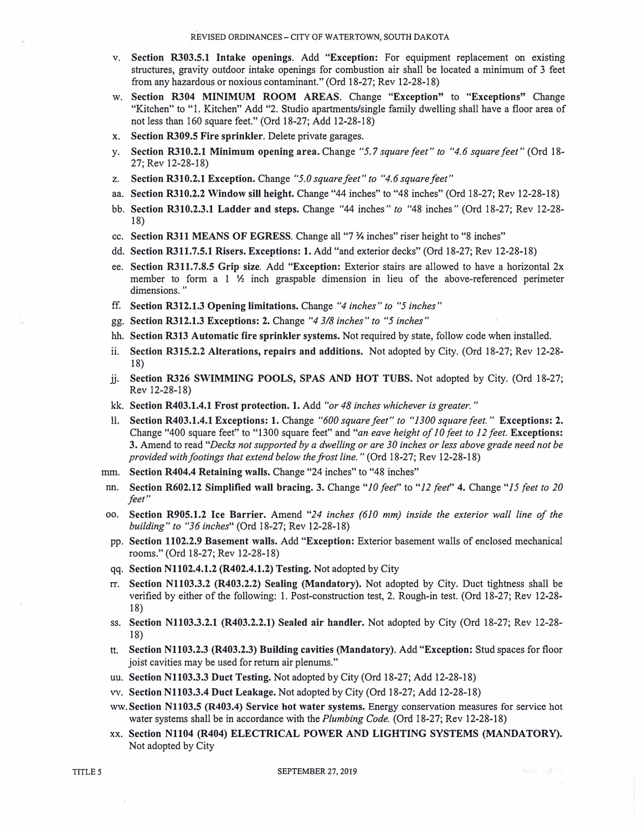- v. **Section R303.5.1 Intake openings.** Add **"Exception:** For equipment replacement on existing structures, gravity outdoor intake openings for combustion air shall be located a minimum of 3 feet from any hazardous or noxious contaminant." (Ord 18-27; Rev 12-28-18)
- w. **Section R304 MINIMUM ROOM AREAS.** Change **"Exception"** to **"Exceptions"** Change "Kitchen" to "l. Kitchen" Add "2. Studio apartments/single family dwelling shall have a floor area of not less than 160 square feet." (Ord 18-27; Add 12-28-18)
- x. **Section R309.5 Fire sprinkler.** Delete private garages.
- y. **Section R310.2.1 Minimum opening area.** Change "5.7 *square feet" to "4.6 square feet"* (Ord 18- 27; Rev 12-28-18)
- z. **Section R310.2.1 Exception.** Change *"5.0 square feet" to "4.6 square feet"*
- aa. **Section R310.2.2 Window sill height.** Change "44 inches" to "48 inches" (Ord 18-27; Rev 12-28-18)
- bb. **Section R310.2.3.1 Ladder and steps.** Change "44 inches" *to* "48 inches" (Ord 18-27; Rev 12-28- 18)
- cc .. **Section R311 MEANS OF EGRESS.** Change all "7 % inches" riser height to "8 inches"
- dd. **Section R311.7.5.1 Risers. Exceptions: 1.** Add "and exterior decks" (Ord 18-27; Rev 12-28-18)
- ee. **Section R311.7.8.5 Grip size.** Add **"Exception:** Exterior stairs are allowed to have a horizontal 2x member to form a  $1 \frac{1}{2}$  inch graspable dimension in lieu of the above-referenced perimeter dimensions. "
- ff. **Section R312.l.3 Opening limitations.** Change *"4 inches" to "5 inches"*
- gg. **Section R312.1.3 Exceptions: 2.** Change *"4 3/8 inches" to* "5 *inches"*
- hh. **Section R313 Automatic fire sprinkler systems.** Not required by state, follow code when installed.
- ii. **Section R315.2.2 Alterations, repairs and additions.** Not adopted by City. (Ord 18-27; Rev 12-28- 18)
- jj. **Section R326 SWIMMING POOLS, SPAS AND HOT TUBS.** Not adopted by City. (Ord 18-27; Rev 12-28-18)
- kk. **Section R403.1.4.1 Frost protection. 1.** Add *"or 48 inches whichever is greater."*
- 11. **Section R403.1.4.1 Exceptions: 1.** Change *"600 square feet" to "1300 square feet."* **Exceptions: 2.** Change "400 square feet" to "1300 square feet" and *"an eave height of JO feet to 12 feet.* **Exceptions: 3.** Amend to read *"Decks not supported by a dwelling or are 30 inches or less above grade need not be provided with footings that extend below the frost line."* (Ord 18-27; Rev 12-28-18)
- mm. **Section R404.4 Retaining walls.** Change "24 inches" to "48 inches"
- nn. **Section R602.12 Simplified wall bracing. 3.** Change *"JO feet"* to *"12 feet''* **4.** Change *"15 feet to 20 feet"*
- oo. **Section R905.1.2 Ice Barrier.** Amend *"24 inches (610 mm) inside the exterior wall line of the building" to "36 inches"* (Ord 18-27; Rev 12-28-18)
- pp. **Section 1102.2.9 Basement walls.** Add **"Exception:** Exterior basement walls of enclosed mechanical rooms." (Ord 18-27; Rev 12-28-18)
- qq. **Section N1102.4.1.2 (R402.4.1.2) Testing.** Not adopted by City
- rr. **Section N1103.3.2 (R403.2.2) Sealing (Mandatory).** Not adopted by City. Duct tightness shall be verified by either of the following: 1. Post-construction test, 2. Rough-in test. (Ord 18-27; Rev 12-28- 18)
- ss. **Section N1103.3.2.1 (R403.2.2.1) Sealed air handler.** Not adopted by City (Ord 18-27; Rev 12-28- 1�
- tt. **Section N1103.2.3 (R403.2.3) Building cavities (Mandatory).** Add **"Exception:** Stud spaces for floor joist cavities may be used for return air plenums."
- uu. **Section N1103.3.3 Duct Testing.** Not adopted by City (Ord 18-27; Add 12-28-18)
- vv. **Section N1103.3.4 Duct Leakage.** Not adopted by City (Ord 18-27; Add 12-28-18)
- ww. Section N1103.5 (R403.4) Service hot water systems. Energy conservation measures for service hot water systems shall be in accordance with the *Plumbing Code.* (Ord 18-27; Rev 12-28-18)
- **xx. Section N1104 (R404) ELECTRICAL POWER AND LIGHTING SYSTEMS (MANDATORY).** Not adopted by City

a was such a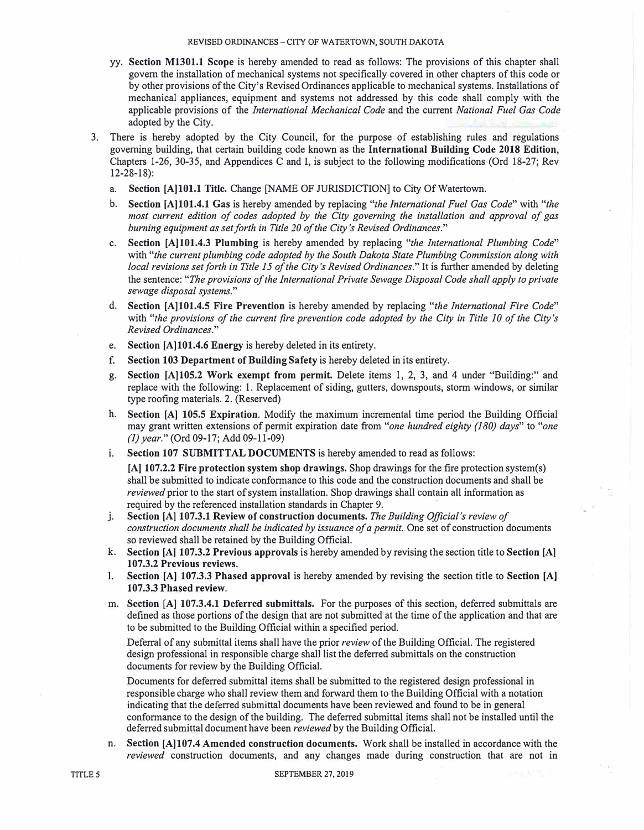- yy. **Section M1301.1 Scope** is hereby amended to read as follows: The provisions of this chapter shall govern the installation of mechanical systems not specifically covered in other chapters of this code or by other provisions of the City's Revised Ordinances applicable to mechanical systems. Installations of mechanical appliances, equipment and systems not addressed by this code shall comply with the applicable provisions of the *International Mechanical Code* and the current *National Fuel Gas Code*  adopted by the City.
- 3. There is hereby adopted by the City Council, for the purpose of establishing rules and regulations governing building, that certain building code known as the **International Building Code 2018 Edition,** Chapters 1-26, 30-35, and Appendices C and I, is subject to the following modifications (Ord 18-27; Rev 12-28-18):
	- a. **Section [A]lOl.1 Title.** Change [NAME OF JURISDICTION] to City Of Watertown.
	- b. **Section [A]lOl.4.1 Gas** is hereby amended by replacing *"the International Fuel Gas Code"* with *"the most current edition of codes adopted by the City governing the instaUation and approval of gas burning equipment as set forth in Title 20 of the City's Revised Ordinances."*
	- c. **Section [A)lOl.4.3 Plumbing** is hereby amended by replacing *"the International Plumbing Code"* with *"the current plumbing code adopted by the South Dakota State Plumbing Commission along with local revisions set forth in Title 15 of the City's Revised Ordinances."* It is further amended by deleting the sentence: *"The provisions of the International Private Sewage Disposal Code shall apply to private sewage disposal systems."*
	- d. **Section [A]lOl.4.5 Fire Prevention is** hereby amended by replacing *"the International Fire Code"* with *"the provisions of the current fire prevention code adopted by the City in Title 10 of the City's Revised Ordinances."*
	- e. **Section [A]lOl.4.6 Energy** is hereby deleted in its entirety.
	- f. **Section 103 Department of Building Safety** is hereby deleted in its entirety.
	- g. **Section [A]105.2 Work exempt from permit.** Delete items 1, 2, 3, and 4 under "Building:" and replace with the following: 1. Replacement of siding, gutters, downspouts, storm windows, or similar type roofing materials. 2. (Reserved)
	- h. **Section [A] 105.5 Expiration.** Modify the maximum incremental time period the Building Official may grant written extensions of permit expiration date from *"one hundred eighty (180) days"* to *"one (1) year."* (Ord 09-17; Add 09-11-09)
	- i. **Section 107 SUBMITTAL DOCUMENTS** is hereby amended to read as follows:

**[A] 107.2.2 Fire protection system shop drawings.** Shop drawings for the fire protection system(s) shall be submitted to indicate conformance to this code and the construction documents and shall be *reviewed* prior to the start of system installation. Shop drawings shall contain all information as required by the referenced installation standards in Chapter 9.

- j. . **Section [A) 107.3.1 Review of construction documents.** *The Building Official's review of construction documents shall be indicated by issuance of a permit.* One set of construction documents so reviewed shall be retained by the Building Official.
- k. **Section [A) 107.3.2 Previous approvals** is hereby amended by revising the section title to **Section [A) 107.3.2 Previous reviews.**
- l. **Section [A] 107.3.3 Phased approval** is hereby amended by revising the section title to **Section [A) 107.3.3 Phased review.**
- m. **Section [A) 107.3.4.1 Deferred submittals.** For the purposes of this section, deferred submittals are defined as those portions of the design that are not submitted at the time of the application and that are to be submitted to the Building Official within a specified period.

Deferral of any submittal items shall have the prior *review* of the Building Official. The registered design professional in responsible charge shall list the deferred submittals on the construction documents for review by the Building Official.

Documents for deferred submittal items shall be submitted to the registered design professional in responsible charge who shall review them and forward them to the Building Official with a notation indicating that the deferred submittal documents have been reviewed and found to be in general conformance to the design of the building. The deferred submittal items shall not be installed until the deferred submittal document have been *reviewed* by the Building Official.

n. **Section [A)107.4 Amended construction documents.** Work shall be installed in accordance with the *reviewed* construction documents, and any changes made during construction that are not in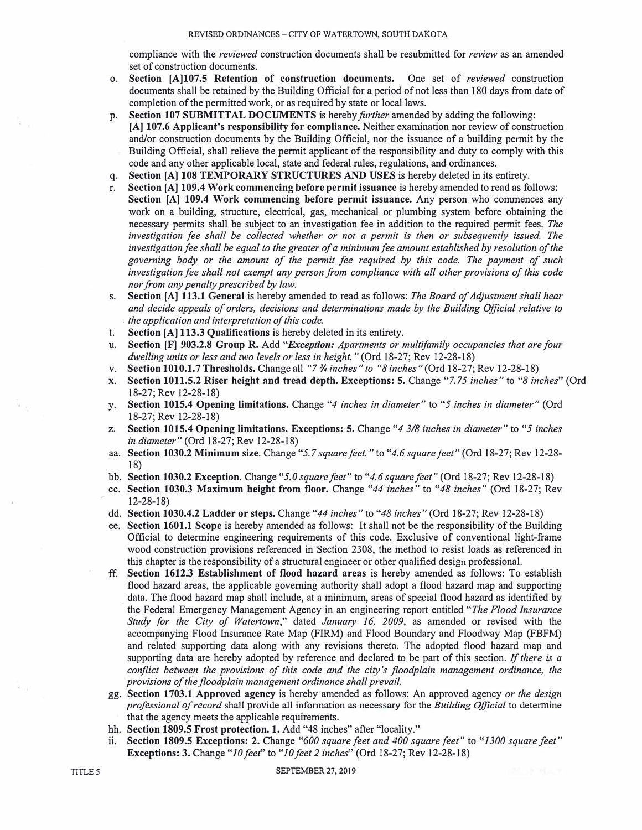compliance with the *reviewed* construction documents shall be resubmitted for *review* as an amended set of construction documents.

- o. **Section [A]l07.5 Retention of construction documents.** One set of *reviewed* construction documents shall be retained by the Building Official for a period of not less than 180 days from date of completion of the permitted work, or as required by state or local laws.
- p. Section 107 SUBMITTAL DOCUMENTS is hereby *further* amended by adding the following: **[A] 107.6 Applicant's responsibility for compliance.** Neither examination nor review of construction and/or construction documents by the Building Official, nor the issuance of a building permit by the Building Official, shall relieve the permit applicant of the responsibility and duty to comply with this code and any other applicable local, state and federal rules, regulations, and ordinances.
- q. **Section [A] 108 TEMPORARY STRUCTURES AND USES** is hereby deleted in its entirety.
- r. **Section [A] 109.4 Work commencing before permit issuance** is hereby amended to read as follows: **Section [A] 109.4 Work commencing before permit issuance.** Any person who commences any work on a building, structure, electrical, gas, mechanical or plumbing system before obtaining the necessary permits shall be subject to an investigation fee in addition to the required permit fees. *The investigation fee shall be collected whether or not a permit* is *then or subsequently issued. The investigation fee shall be equal to the greater of a minimum fee amount established by resolution of the governing body or the amount of the permit fee required by this code. The payment of such investigation fee shall not exempt any person from compliance with all other provisions of this code nor from any penalty prescribed by law.*
- s. **Section [A] 113.1 General** is hereby amended to read as follows: *The Board of Adjustment shall hear and decide appeals of orders, decisions and determinations made by the Building Official relative to* . *the application and interpretation of this code.*
- t. **Section [A] 113.3 Qualifications** is hereby deleted in its entirety.
- u. **Section [F] 903.2.8 Group R.** Add *"Exception: Apartments or multifamily occupancies that are four dwelling units or less and two levels or less in height."* (Ord 18-27; Rev 12-28-18)
- v. **Section 1010.1.7 Thresholds.** Change all "7-% *inches" to "8 inches"* (Ord 18-27; Rev 12-28-18)
- x. **Section 1011.5.2 Riser height and tread depth. Exceptions: 5.** Change "7. *75 inches"* to *"8 inches"* (Ord 18-27; Rev 12-28-18)
- y. **Section 1015.4 Opening limitations.** Change *"4 inches in diameter"* to *"5 inches in diameter"* (Ord 18-27; Rev 12-28-18)
- z. **Section 1015.4 Opening limitations. Exceptions: 5.** Change *"4 3/8 inches in diameter"* to *"5 inches in diameter"* (Ord 18-27; Rev 12-28-18)
- aa. **Section 1030.2 Minimum size.** Change *"5.* 7 *square feet."* to *"4.6 square feet"* (Ord 18-27; Rev 12-28- 18)
- bb. **Section 1030.2 Exception.** Change *"5.0 square feet"* to *"4.6 square feet"* (Ord 18-27; Rev 12-28-18)
- cc. **Section 1030.3 Maximum height from floor.** Change *"44 inches"* to *"48 inches"* (Ord 18-27; Rev 12-28-18)
- dd. **Section 1030.4.2 Ladder or steps.** Change *"44 inches"* to *"48 inches"* (Ord 18-27; Rev 12-28-18)
- ee. **Section 1601.1 Scope** is hereby amended as follows: It shall not be the responsibility of the Building Official to determine engineering requirements of this code. Exclusive of conventional light-frame wood construction provisions referenced in Section 2308, the method to resist loads as referenced in this chapter is the responsibility of a structural engineer or other qualified design professional.
- ff. **Section 1612.3 Establishment of flood hazard areas** is hereby amended as follows: To establish flood hazard areas, the applicable governing authority shall adopt a flood hazard map and supporting data. The flood hazard map shall include, at a minimum, areas of special flood hazard as identified by · the Federal Emergency Management Agency in an engineering report entitled *"The Flood Insurance Study for the City of Watertown,"* dated *January 16, 2009,* as amended or revised with the accompanying Flood Insurance Rate Map (FIRM) and Flood Boundary and Floodway Map (FBFM) and related supporting data along with any revisions thereto. The adopted flood hazard map and supporting data are hereby adopted by reference and declared to be part of this section. ff *there is a conflict between the provisions of this code and the city's floodplain management ordinance, the provisions of the floodplain management ordinance shall prevail.*
- gg. **Section 1703.1 Approved agency** is hereby amended as follows: An approved agency *or the design professional of record* shall provide all information as necessary for the *Building Official* to determine that the agency meets the applicable requirements.
- hh. **Section 1809.5 Frost protection. 1.** Add "48 inches" after "locality."
- ii. **Section 1809.5 Exceptions: 2.** Change *"600 square feet and 400 square feet"* to *"1300 square feet"* **Exceptions: 3.** Change *"lOfeef'* to *"JO feet 2 inches"* (Ord 18-27; Rev 12-28-18)